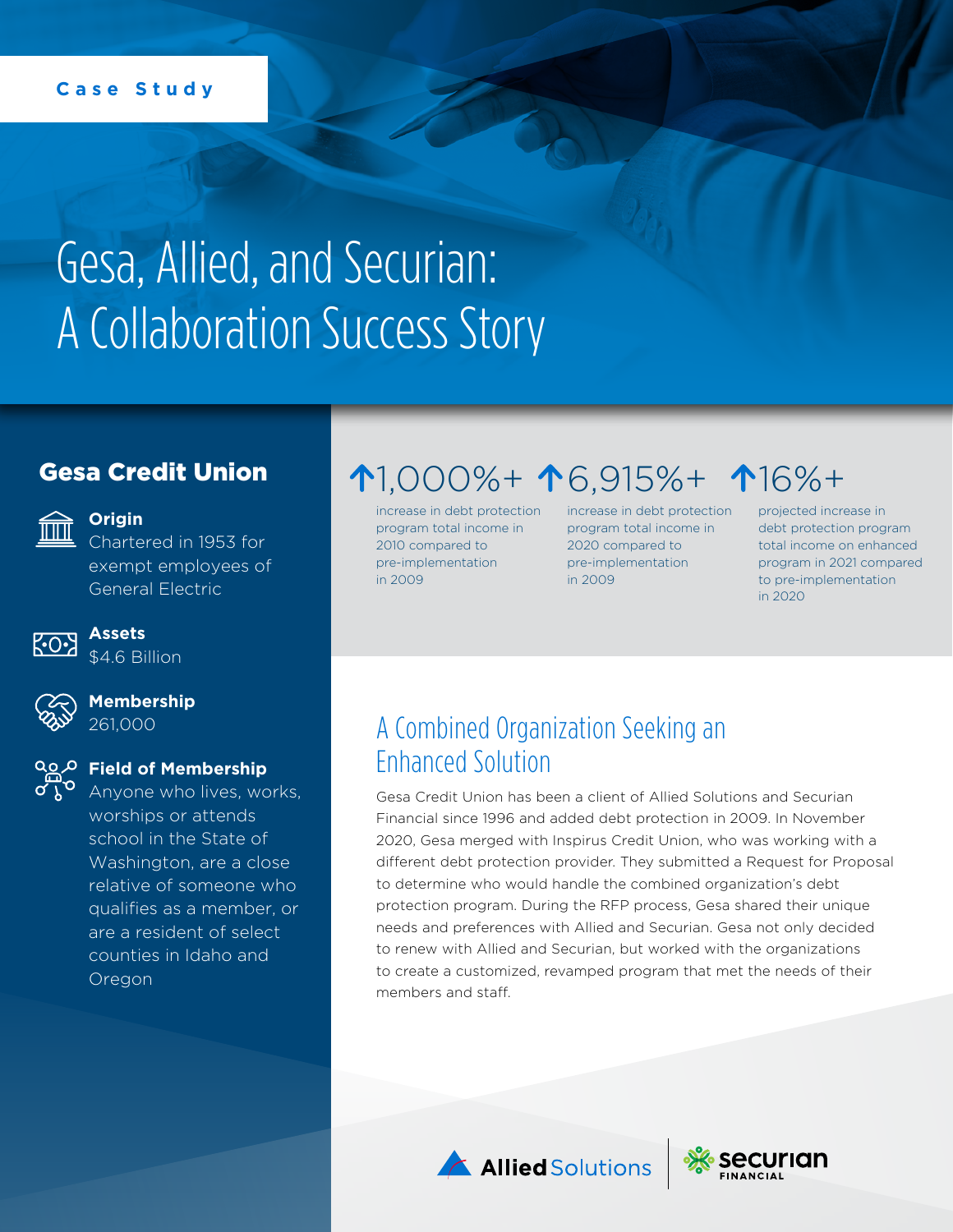#### **Case Study**

# Gesa, Allied, and Securian: A Collaboration Success Story

#### Gesa Credit Union



#### **Origin**

Chartered in 1953 for exempt employees of General Electric



## **Assets**

\$4.6 Billion



**Membership** 261,000

#### **Field of Membership**

Anyone who lives, works, worships or attends school in the State of Washington, are a close relative of someone who qualifies as a member, or are a resident of select counties in Idaho and Oregon

## 1,000%+ 16,915%+ 16%+

increase in debt protection program total income in 2010 compared to pre-implementation in 2009

increase in debt protection program total income in 2020 compared to pre-implementation in 2009

projected increase in debt protection program total income on enhanced program in 2021 compared to pre-implementation in 2020

#### A Combined Organization Seeking an Enhanced Solution

Gesa Credit Union has been a client of Allied Solutions and Securian Financial since 1996 and added debt protection in 2009. In November 2020, Gesa merged with Inspirus Credit Union, who was working with a different debt protection provider. They submitted a Request for Proposal to determine who would handle the combined organization's debt protection program. During the RFP process, Gesa shared their unique needs and preferences with Allied and Securian. Gesa not only decided to renew with Allied and Securian, but worked with the organizations to create a customized, revamped program that met the needs of their members and staff.



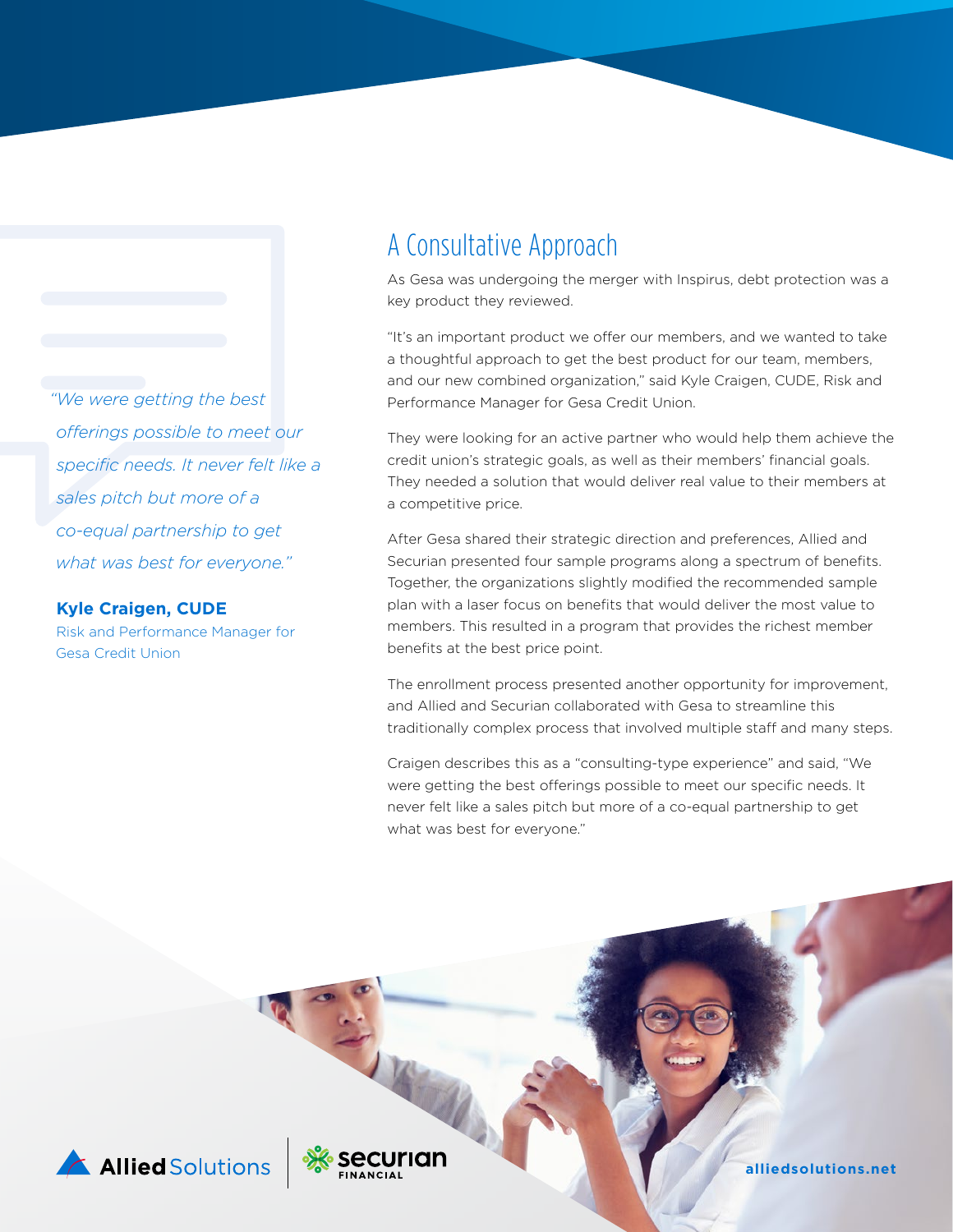*"We were getting the best offerings possible to meet our specific needs. It never felt like a sales pitch but more of a co-equal partnership to get what was best for everyone."*

#### **Kyle Craigen, CUDE**

Risk and Performance Manager for Gesa Credit Union

#### A Consultative Approach

As Gesa was undergoing the merger with Inspirus, debt protection was a key product they reviewed.

"It's an important product we offer our members, and we wanted to take a thoughtful approach to get the best product for our team, members, and our new combined organization," said Kyle Craigen, CUDE, Risk and Performance Manager for Gesa Credit Union.

They were looking for an active partner who would help them achieve the credit union's strategic goals, as well as their members' financial goals. They needed a solution that would deliver real value to their members at a competitive price.

After Gesa shared their strategic direction and preferences, Allied and Securian presented four sample programs along a spectrum of benefits. Together, the organizations slightly modified the recommended sample plan with a laser focus on benefits that would deliver the most value to members. This resulted in a program that provides the richest member benefits at the best price point.

The enrollment process presented another opportunity for improvement, and Allied and Securian collaborated with Gesa to streamline this traditionally complex process that involved multiple staff and many steps.

Craigen describes this as a "consulting-type experience" and said, "We were getting the best offerings possible to meet our specific needs. It never felt like a sales pitch but more of a co-equal partnership to get what was best for everyone."

Allied Solutions

**ecurian** 

**[alliedsolutions.net](https://www.alliedsolutions.net/)**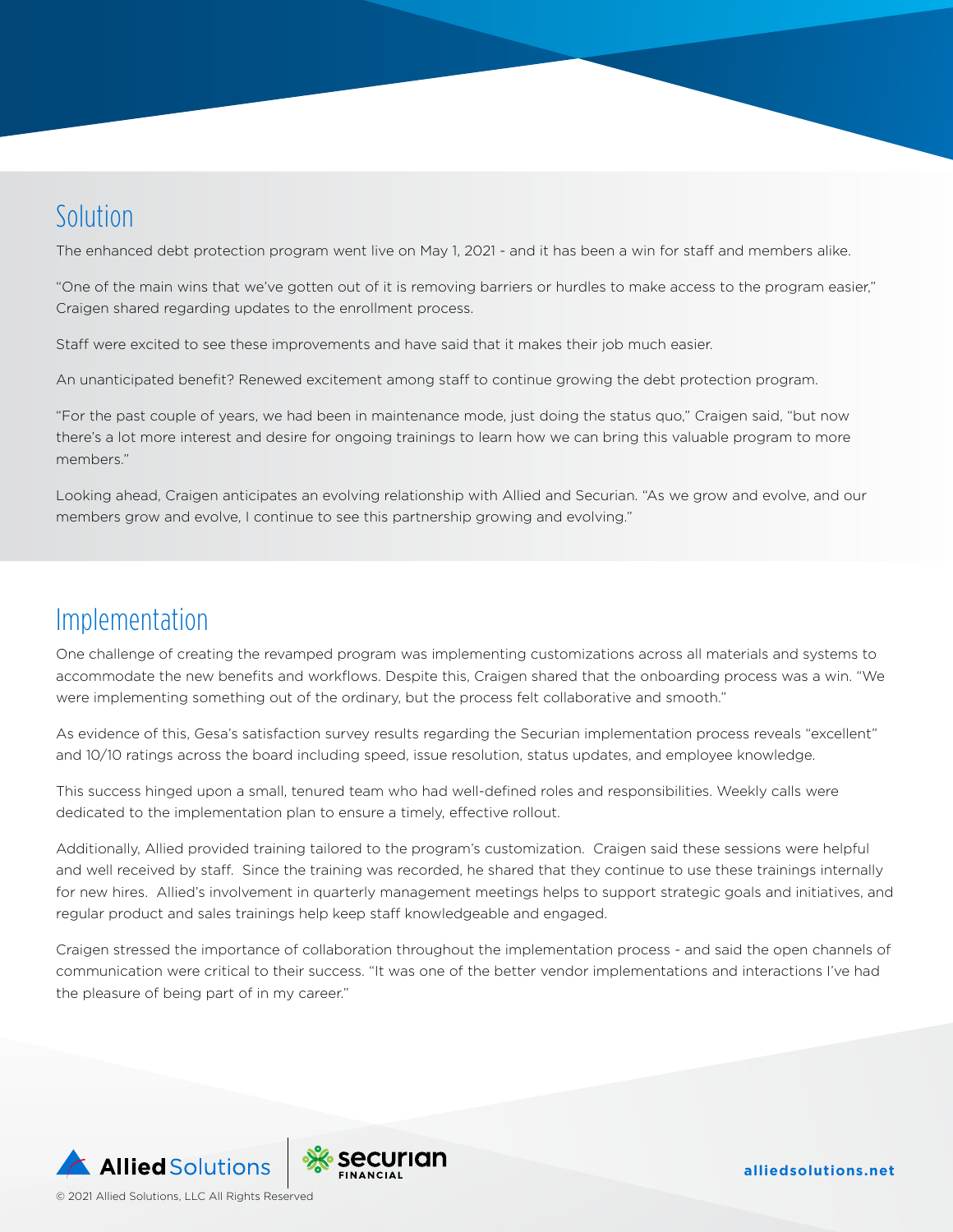## Solution

The enhanced debt protection program went live on May 1, 2021 - and it has been a win for staff and members alike.

"One of the main wins that we've gotten out of it is removing barriers or hurdles to make access to the program easier," Craigen shared regarding updates to the enrollment process.

Staff were excited to see these improvements and have said that it makes their job much easier.

An unanticipated benefit? Renewed excitement among staff to continue growing the debt protection program.

"For the past couple of years, we had been in maintenance mode, just doing the status quo," Craigen said, "but now there's a lot more interest and desire for ongoing trainings to learn how we can bring this valuable program to more members."

Looking ahead, Craigen anticipates an evolving relationship with Allied and Securian. "As we grow and evolve, and our members grow and evolve, I continue to see this partnership growing and evolving."

#### Implementation

One challenge of creating the revamped program was implementing customizations across all materials and systems to accommodate the new benefits and workflows. Despite this, Craigen shared that the onboarding process was a win. "We were implementing something out of the ordinary, but the process felt collaborative and smooth."

As evidence of this, Gesa's satisfaction survey results regarding the Securian implementation process reveals "excellent" and 10/10 ratings across the board including speed, issue resolution, status updates, and employee knowledge.

This success hinged upon a small, tenured team who had well-defined roles and responsibilities. Weekly calls were dedicated to the implementation plan to ensure a timely, effective rollout.

Additionally, Allied provided training tailored to the program's customization. Craigen said these sessions were helpful and well received by staff. Since the training was recorded, he shared that they continue to use these trainings internally for new hires. Allied's involvement in quarterly management meetings helps to support strategic goals and initiatives, and regular product and sales trainings help keep staff knowledgeable and engaged.

Craigen stressed the importance of collaboration throughout the implementation process - and said the open channels of communication were critical to their success. "It was one of the better vendor implementations and interactions I've had the pleasure of being part of in my career."

**Allied Solutions** © 2021 Allied Solutions, LLC All Rights Reserved



**[alliedsolutions.net](https://www.alliedsolutions.net/)**